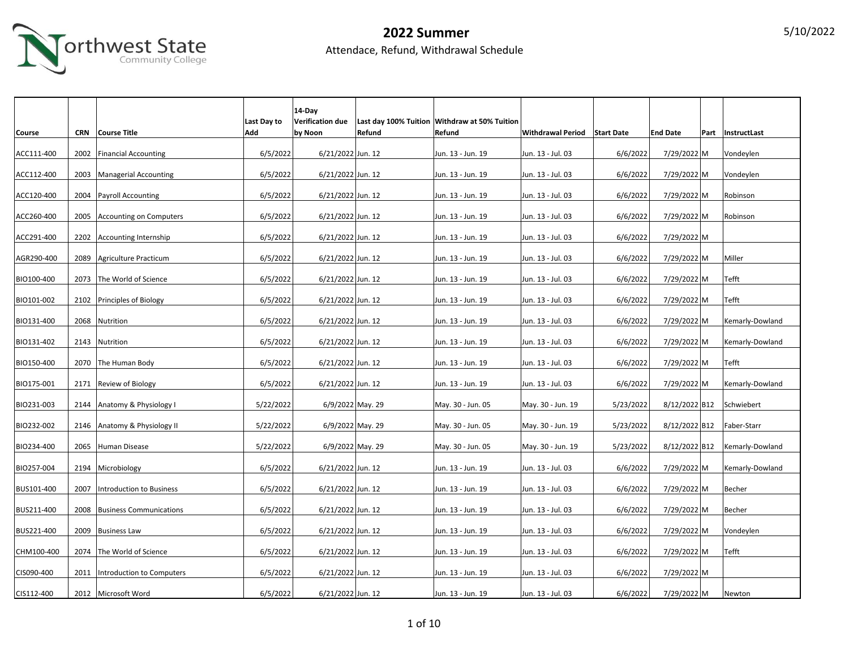

|               |            |                                 |             | 14-Day            |        |                                               |                          |                   |                 |                   |
|---------------|------------|---------------------------------|-------------|-------------------|--------|-----------------------------------------------|--------------------------|-------------------|-----------------|-------------------|
|               |            |                                 | Last Day to | Verification due  |        | Last day 100% Tuition Withdraw at 50% Tuition |                          |                   |                 |                   |
| <b>Course</b> | <b>CRN</b> | Course Title                    | Add         | by Noon           | Refund | Refund                                        | <b>Withdrawal Period</b> | <b>Start Date</b> | <b>End Date</b> | Part InstructLast |
|               |            |                                 |             |                   |        |                                               |                          |                   |                 |                   |
| ACC111-400    | 2002       | <b>Financial Accounting</b>     | 6/5/2022    | 6/21/2022 Jun. 12 |        | Jun. 13 - Jun. 19                             | Jun. 13 - Jul. 03        | 6/6/2022          | 7/29/2022 M     | Vondeylen         |
|               |            |                                 |             |                   |        |                                               |                          |                   |                 |                   |
| ACC112-400    | 2003       | Managerial Accounting           | 6/5/2022    | 6/21/2022 Jun. 12 |        | Jun. 13 - Jun. 19                             | Jun. 13 - Jul. 03        | 6/6/2022          | 7/29/2022 M     | Vondeylen         |
|               |            |                                 |             |                   |        |                                               |                          |                   |                 |                   |
| ACC120-400    | 2004       | <b>Payroll Accounting</b>       | 6/5/2022    | 6/21/2022 Jun. 12 |        | Jun. 13 - Jun. 19                             | Jun. 13 - Jul. 03        | 6/6/2022          | 7/29/2022 M     | Robinson          |
|               |            |                                 |             |                   |        |                                               |                          |                   |                 |                   |
| ACC260-400    |            | 2005 Accounting on Computers    | 6/5/2022    | 6/21/2022 Jun. 12 |        | Jun. 13 - Jun. 19                             | Jun. 13 - Jul. 03        | 6/6/2022          | 7/29/2022 M     | Robinson          |
|               |            |                                 |             |                   |        |                                               |                          |                   |                 |                   |
| ACC291-400    |            | 2202 Accounting Internship      | 6/5/2022    | 6/21/2022 Jun. 12 |        | Jun. 13 - Jun. 19                             | Jun. 13 - Jul. 03        | 6/6/2022          | 7/29/2022 M     |                   |
|               |            |                                 |             |                   |        |                                               |                          |                   |                 |                   |
| AGR290-400    |            | 2089 Agriculture Practicum      | 6/5/2022    | 6/21/2022 Jun. 12 |        | Jun. 13 - Jun. 19                             | Jun. 13 - Jul. 03        | 6/6/2022          | 7/29/2022 M     | Miller            |
|               |            |                                 |             |                   |        |                                               |                          |                   |                 |                   |
| BIO100-400    | 2073       | The World of Science            | 6/5/2022    | 6/21/2022 Jun. 12 |        | Jun. 13 - Jun. 19                             | Jun. 13 - Jul. 03        | 6/6/2022          | 7/29/2022 M     | Tefft             |
|               |            |                                 |             |                   |        |                                               |                          |                   |                 |                   |
| BIO101-002    | 2102       | Principles of Biology           | 6/5/2022    | 6/21/2022 Jun. 12 |        | Jun. 13 - Jun. 19                             | Jun. 13 - Jul. 03        | 6/6/2022          | 7/29/2022 M     | Tefft             |
|               |            |                                 |             |                   |        |                                               |                          |                   |                 |                   |
| BIO131-400    | 2068       | Nutrition                       | 6/5/2022    | 6/21/2022 Jun. 12 |        | Jun. 13 - Jun. 19                             | Jun. 13 - Jul. 03        | 6/6/2022          | 7/29/2022 M     | Kemarly-Dowland   |
|               |            |                                 |             |                   |        |                                               |                          |                   |                 |                   |
| BIO131-402    | 2143       | Nutrition                       | 6/5/2022    | 6/21/2022 Jun. 12 |        | Jun. 13 - Jun. 19                             | Jun. 13 - Jul. 03        | 6/6/2022          | 7/29/2022 M     | Kemarly-Dowland   |
|               |            |                                 |             |                   |        |                                               |                          |                   |                 |                   |
| BIO150-400    |            | 2070 The Human Body             | 6/5/2022    | 6/21/2022 Jun. 12 |        | Jun. 13 - Jun. 19                             | Jun. 13 - Jul. 03        | 6/6/2022          | 7/29/2022 M     | Tefft             |
|               |            |                                 |             |                   |        |                                               |                          |                   |                 |                   |
| BIO175-001    | 2171       | Review of Biology               | 6/5/2022    | 6/21/2022 Jun. 12 |        | Jun. 13 - Jun. 19                             | Jun. 13 - Jul. 03        | 6/6/2022          | 7/29/2022 M     | Kemarly-Dowland   |
|               |            |                                 |             |                   |        |                                               |                          |                   |                 |                   |
| BIO231-003    |            | 2144 Anatomy & Physiology I     | 5/22/2022   | 6/9/2022 May. 29  |        | May. 30 - Jun. 05                             | May. 30 - Jun. 19        | 5/23/2022         | 8/12/2022 B12   | Schwiebert        |
|               |            |                                 |             |                   |        |                                               |                          |                   |                 |                   |
| BIO232-002    |            | 2146 Anatomy & Physiology II    | 5/22/2022   | 6/9/2022 May. 29  |        | May. 30 - Jun. 05                             | May. 30 - Jun. 19        | 5/23/2022         | 8/12/2022 B12   | Faber-Starr       |
|               |            |                                 |             |                   |        |                                               |                          |                   |                 |                   |
| BIO234-400    |            | 2065 Human Disease              | 5/22/2022   | 6/9/2022 May. 29  |        | May. 30 - Jun. 05                             | May. 30 - Jun. 19        | 5/23/2022         | 8/12/2022 B12   | Kemarly-Dowland   |
| BIO257-004    |            | 2194 Microbiology               | 6/5/2022    | 6/21/2022 Jun. 12 |        | Jun. 13 - Jun. 19                             | Jun. 13 - Jul. 03        | 6/6/2022          | 7/29/2022 M     | Kemarly-Dowland   |
|               |            |                                 |             |                   |        |                                               |                          |                   |                 |                   |
| BUS101-400    | 2007       | <b>Introduction to Business</b> | 6/5/2022    | 6/21/2022 Jun. 12 |        | Jun. 13 - Jun. 19                             | Jun. 13 - Jul. 03        | 6/6/2022          | 7/29/2022 M     | Becher            |
|               |            |                                 |             |                   |        |                                               |                          |                   |                 |                   |
| BUS211-400    | 2008       | <b>Business Communications</b>  | 6/5/2022    | 6/21/2022 Jun. 12 |        | Jun. 13 - Jun. 19                             | Jun. 13 - Jul. 03        | 6/6/2022          | 7/29/2022 M     | Becher            |
|               |            |                                 |             |                   |        |                                               |                          |                   |                 |                   |
| BUS221-400    | 2009       | <b>Business Law</b>             | 6/5/2022    | 6/21/2022 Jun. 12 |        | Jun. 13 - Jun. 19                             | Jun. 13 - Jul. 03        | 6/6/2022          | 7/29/2022 M     | Vondeylen         |
|               |            |                                 |             |                   |        |                                               |                          |                   |                 |                   |
| CHM100-400    |            | 2074 The World of Science       | 6/5/2022    | 6/21/2022 Jun. 12 |        | Jun. 13 - Jun. 19                             | Jun. 13 - Jul. 03        | 6/6/2022          | 7/29/2022 M     | Tefft             |
|               |            |                                 |             |                   |        |                                               |                          |                   |                 |                   |
| CIS090-400    | 2011       | Introduction to Computers       | 6/5/2022    | 6/21/2022 Jun. 12 |        | Jun. 13 - Jun. 19                             | Jun. 13 - Jul. 03        | 6/6/2022          | 7/29/2022 M     |                   |
|               |            |                                 |             |                   |        |                                               |                          |                   |                 |                   |
| CIS112-400    |            | 2012 Microsoft Word             | 6/5/2022    | 6/21/2022 Jun. 12 |        | Jun. 13 - Jun. 19                             | Jun. 13 - Jul. 03        | 6/6/2022          | 7/29/2022 M     | Newton            |
|               |            |                                 |             |                   |        |                                               |                          |                   |                 |                   |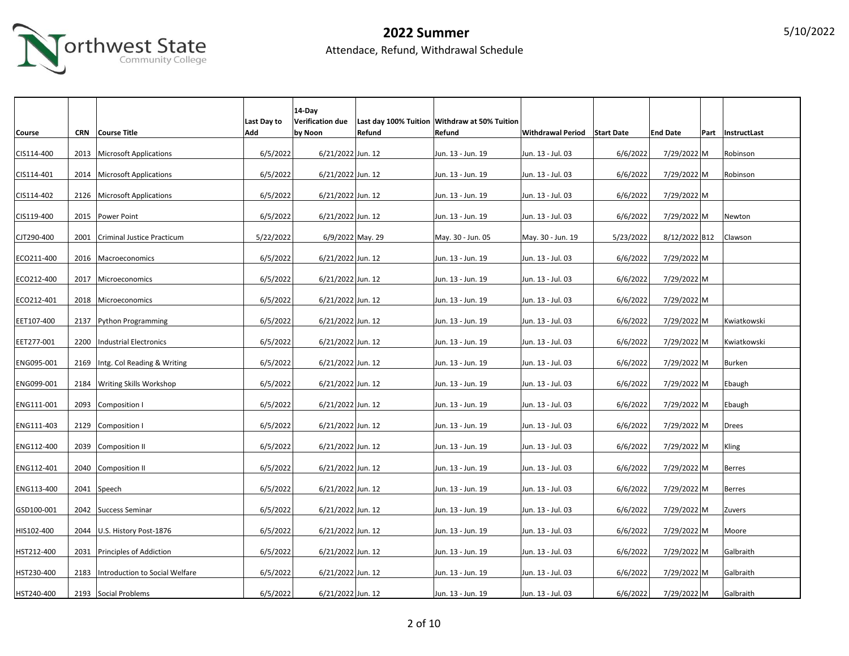

|            |            |                                |                    | 14-Day                             |        |                                                         |                              |           |                 |                   |
|------------|------------|--------------------------------|--------------------|------------------------------------|--------|---------------------------------------------------------|------------------------------|-----------|-----------------|-------------------|
| Course     | <b>CRN</b> | Course Title                   | Last Day to<br>Add | <b>Verification due</b><br>by Noon | Refund | Last day 100% Tuition Withdraw at 50% Tuition<br>Refund | Withdrawal Period Start Date |           | <b>End Date</b> | Part InstructLast |
|            |            |                                |                    |                                    |        |                                                         |                              |           |                 |                   |
| CIS114-400 | 2013       | Microsoft Applications         | 6/5/2022           | 6/21/2022 Jun. 12                  |        | Jun. 13 - Jun. 19                                       | Jun. 13 - Jul. 03            | 6/6/2022  | 7/29/2022 M     | Robinson          |
| CIS114-401 |            | 2014   Microsoft Applications  | 6/5/2022           | 6/21/2022 Jun. 12                  |        | Jun. 13 - Jun. 19                                       | Jun. 13 - Jul. 03            | 6/6/2022  | 7/29/2022 M     | Robinson          |
| CIS114-402 | 2126       | <b>Microsoft Applications</b>  | 6/5/2022           | 6/21/2022 Jun. 12                  |        | Jun. 13 - Jun. 19                                       | Jun. 13 - Jul. 03            | 6/6/2022  | 7/29/2022 M     |                   |
| CIS119-400 |            | 2015   Power Point             | 6/5/2022           | 6/21/2022 Jun. 12                  |        | Jun. 13 - Jun. 19                                       | Jun. 13 - Jul. 03            | 6/6/2022  | 7/29/2022 M     | Newton            |
| CJT290-400 | 2001       | Criminal Justice Practicum     | 5/22/2022          | 6/9/2022 May. 29                   |        | May. 30 - Jun. 05                                       | May. 30 - Jun. 19            | 5/23/2022 | 8/12/2022 B12   | Clawson           |
| ECO211-400 |            | 2016   Macroeconomics          | 6/5/2022           | 6/21/2022 Jun. 12                  |        | Jun. 13 - Jun. 19                                       | Jun. 13 - Jul. 03            | 6/6/2022  | 7/29/2022 M     |                   |
| ECO212-400 | 2017       | Microeconomics                 | 6/5/2022           | 6/21/2022 Jun. 12                  |        | Jun. 13 - Jun. 19                                       | Jun. 13 - Jul. 03            | 6/6/2022  | 7/29/2022 M     |                   |
| ECO212-401 | 2018       | Microeconomics                 | 6/5/2022           | 6/21/2022 Jun. 12                  |        | Jun. 13 - Jun. 19                                       | Jun. 13 - Jul. 03            | 6/6/2022  | 7/29/2022 M     |                   |
| EET107-400 | 2137       | Python Programming             | 6/5/2022           | 6/21/2022 Jun. 12                  |        | Jun. 13 - Jun. 19                                       | Jun. 13 - Jul. 03            | 6/6/2022  | 7/29/2022 M     | Kwiatkowski       |
| EET277-001 | 2200       | Industrial Electronics         | 6/5/2022           | 6/21/2022 Jun. 12                  |        | Jun. 13 - Jun. 19                                       | Jun. 13 - Jul. 03            | 6/6/2022  | 7/29/2022 M     | Kwiatkowski       |
| ENG095-001 | 2169       | Intg. Col Reading & Writing    | 6/5/2022           | 6/21/2022 Jun. 12                  |        | Jun. 13 - Jun. 19                                       | Jun. 13 - Jul. 03            | 6/6/2022  | 7/29/2022 M     | Burken            |
| ENG099-001 | 2184       | <b>Writing Skills Workshop</b> | 6/5/2022           | 6/21/2022 Jun. 12                  |        | Jun. 13 - Jun. 19                                       | Jun. 13 - Jul. 03            | 6/6/2022  | 7/29/2022 M     | Ebaugh            |
| ENG111-001 |            | 2093 Composition I             | 6/5/2022           | 6/21/2022 Jun. 12                  |        | Jun. 13 - Jun. 19                                       | Jun. 13 - Jul. 03            | 6/6/2022  | 7/29/2022 M     | Ebaugh            |
| ENG111-403 |            | 2129 Composition I             | 6/5/2022           | 6/21/2022 Jun. 12                  |        | Jun. 13 - Jun. 19                                       | Jun. 13 - Jul. 03            | 6/6/2022  | 7/29/2022 M     | Drees             |
| ENG112-400 |            | 2039 Composition II            | 6/5/2022           | 6/21/2022 Jun. 12                  |        | Jun. 13 - Jun. 19                                       | Jun. 13 - Jul. 03            | 6/6/2022  | 7/29/2022 M     | Kling             |
| ENG112-401 |            | 2040 Composition II            | 6/5/2022           | 6/21/2022 Jun. 12                  |        | Jun. 13 - Jun. 19                                       | Jun. 13 - Jul. 03            | 6/6/2022  | 7/29/2022 M     | Berres            |
| ENG113-400 |            | 2041 Speech                    | 6/5/2022           | 6/21/2022 Jun. 12                  |        | Jun. 13 - Jun. 19                                       | Jun. 13 - Jul. 03            | 6/6/2022  | 7/29/2022 M     | <b>Berres</b>     |
| GSD100-001 |            | 2042 Success Seminar           | 6/5/2022           | 6/21/2022 Jun. 12                  |        | Jun. 13 - Jun. 19                                       | Jun. 13 - Jul. 03            | 6/6/2022  | 7/29/2022 M     | Zuvers            |
| HIS102-400 | 2044       | U.S. History Post-1876         | 6/5/2022           | 6/21/2022 Jun. 12                  |        | Jun. 13 - Jun. 19                                       | Jun. 13 - Jul. 03            | 6/6/2022  | 7/29/2022 M     | Moore             |
| HST212-400 | 2031       | Principles of Addiction        | 6/5/2022           | 6/21/2022 Jun. 12                  |        | Jun. 13 - Jun. 19                                       | Jun. 13 - Jul. 03            | 6/6/2022  | 7/29/2022 M     | Galbraith         |
| HST230-400 | 2183       | Introduction to Social Welfare | 6/5/2022           | 6/21/2022 Jun. 12                  |        | Jun. 13 - Jun. 19                                       | Jun. 13 - Jul. 03            | 6/6/2022  | 7/29/2022 M     | Galbraith         |
| HST240-400 |            | 2193 Social Problems           | 6/5/2022           | 6/21/2022 Jun. 12                  |        | Jun. 13 - Jun. 19                                       | Jun. 13 - Jul. 03            | 6/6/2022  | 7/29/2022 M     | Galbraith         |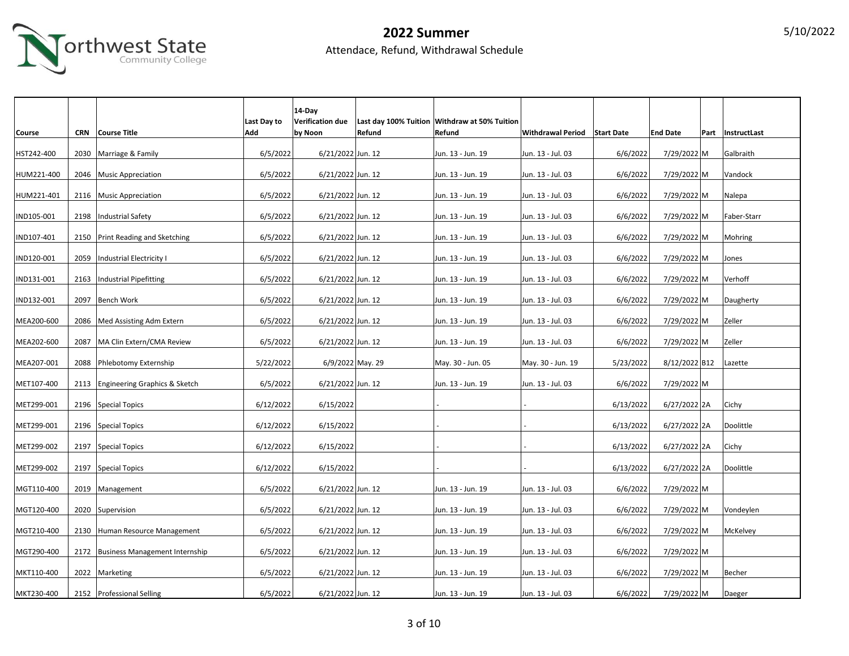

|               |            |                                     |             | $14$ -Day         |        |                                               |                              |           |                 |                     |
|---------------|------------|-------------------------------------|-------------|-------------------|--------|-----------------------------------------------|------------------------------|-----------|-----------------|---------------------|
|               |            |                                     | Last Day to | Verification due  |        | Last day 100% Tuition Withdraw at 50% Tuition |                              |           |                 |                     |
| <b>Course</b> | <b>CRN</b> | Course Title                        | Add         | by Noon           | Refund | Refund                                        | Withdrawal Period Start Date |           | <b>End Date</b> | Part   InstructLast |
| HST242-400    |            | 2030 Marriage & Family              | 6/5/2022    | 6/21/2022 Jun. 12 |        | Jun. 13 - Jun. 19                             | Jun. 13 - Jul. 03            | 6/6/2022  | 7/29/2022 M     | Galbraith           |
|               |            |                                     |             |                   |        |                                               |                              |           |                 |                     |
| HUM221-400    |            | 2046 Music Appreciation             | 6/5/2022    | 6/21/2022 Jun. 12 |        | Jun. 13 - Jun. 19                             | Jun. 13 - Jul. 03            | 6/6/2022  | 7/29/2022 M     | Vandock             |
| HUM221-401    |            | 2116 Music Appreciation             | 6/5/2022    | 6/21/2022 Jun. 12 |        | Jun. 13 - Jun. 19                             | Jun. 13 - Jul. 03            | 6/6/2022  | 7/29/2022 M     | Nalepa              |
|               |            |                                     |             |                   |        |                                               |                              |           |                 |                     |
| IND105-001    |            | 2198   Industrial Safety            | 6/5/2022    | 6/21/2022 Jun. 12 |        | Jun. 13 - Jun. 19                             | Jun. 13 - Jul. 03            | 6/6/2022  | 7/29/2022 M     | Faber-Starr         |
| IND107-401    |            | 2150 Print Reading and Sketching    | 6/5/2022    | 6/21/2022 Jun. 12 |        | Jun. 13 - Jun. 19                             | Jun. 13 - Jul. 03            | 6/6/2022  | 7/29/2022 M     | Mohring             |
|               |            |                                     |             |                   |        |                                               |                              |           |                 |                     |
| IND120-001    | 2059       | Industrial Electricity I            | 6/5/2022    | 6/21/2022 Jun. 12 |        | Jun. 13 - Jun. 19                             | Jun. 13 - Jul. 03            | 6/6/2022  | 7/29/2022 M     | Jones               |
| IND131-001    | 2163       |                                     | 6/5/2022    |                   |        | Jun. 13 - Jun. 19                             | Jun. 13 - Jul. 03            | 6/6/2022  | 7/29/2022 M     | Verhoff             |
|               |            | <b>Industrial Pipefitting</b>       |             | 6/21/2022 Jun. 12 |        |                                               |                              |           |                 |                     |
| IND132-001    | 2097       | <b>Bench Work</b>                   | 6/5/2022    | 6/21/2022 Jun. 12 |        | Jun. 13 - Jun. 19                             | Jun. 13 - Jul. 03            | 6/6/2022  | 7/29/2022 M     | Daugherty           |
|               |            |                                     |             |                   |        |                                               |                              |           |                 |                     |
| MEA200-600    | 2086       | Med Assisting Adm Extern            | 6/5/2022    | 6/21/2022 Jun. 12 |        | Jun. 13 - Jun. 19                             | Jun. 13 - Jul. 03            | 6/6/2022  | 7/29/2022 M     | Zeller              |
| MEA202-600    | 2087       | MA Clin Extern/CMA Review           | 6/5/2022    | 6/21/2022 Jun. 12 |        | Jun. 13 - Jun. 19                             | Jun. 13 - Jul. 03            | 6/6/2022  | 7/29/2022 M     | Zeller              |
|               |            |                                     |             |                   |        |                                               |                              |           |                 |                     |
| MEA207-001    | 2088       | Phlebotomy Externship               | 5/22/2022   | 6/9/2022 May. 29  |        | May. 30 - Jun. 05                             | May. 30 - Jun. 19            | 5/23/2022 | 8/12/2022 B12   | Lazette             |
| MET107-400    |            | 2113 Engineering Graphics & Sketch  | 6/5/2022    | 6/21/2022 Jun. 12 |        | Jun. 13 - Jun. 19                             | Jun. 13 - Jul. 03            | 6/6/2022  | 7/29/2022 M     |                     |
|               |            |                                     |             |                   |        |                                               |                              |           |                 |                     |
| MET299-001    |            | 2196 Special Topics                 | 6/12/2022   | 6/15/2022         |        |                                               |                              | 6/13/2022 | 6/27/2022 2A    | Cichy               |
| MET299-001    |            | 2196 Special Topics                 | 6/12/2022   | 6/15/2022         |        |                                               |                              | 6/13/2022 | 6/27/2022 2A    | Doolittle           |
|               |            |                                     |             |                   |        |                                               |                              |           |                 |                     |
| MET299-002    |            | 2197 Special Topics                 | 6/12/2022   | 6/15/2022         |        |                                               |                              | 6/13/2022 | 6/27/2022 2A    | Cichy               |
| MET299-002    |            | 2197 Special Topics                 | 6/12/2022   | 6/15/2022         |        |                                               |                              | 6/13/2022 |                 | Doolittle           |
|               |            |                                     |             |                   |        |                                               |                              |           | 6/27/2022 2A    |                     |
| MGT110-400    | 2019       | Management                          | 6/5/2022    | 6/21/2022 Jun. 12 |        | Jun. 13 - Jun. 19                             | Jun. 13 - Jul. 03            | 6/6/2022  | 7/29/2022 M     |                     |
|               |            |                                     |             |                   |        |                                               |                              |           |                 |                     |
| MGT120-400    |            | 2020 Supervision                    | 6/5/2022    | 6/21/2022 Jun. 12 |        | Jun. 13 - Jun. 19                             | Jun. 13 - Jul. 03            | 6/6/2022  | 7/29/2022 M     | Vondeylen           |
| MGT210-400    |            | 2130 Human Resource Management      | 6/5/2022    | 6/21/2022 Jun. 12 |        | Jun. 13 - Jun. 19                             | Jun. 13 - Jul. 03            | 6/6/2022  | 7/29/2022 M     | McKelvey            |
|               |            |                                     |             |                   |        |                                               |                              |           |                 |                     |
| MGT290-400    |            | 2172 Business Management Internship | 6/5/2022    | 6/21/2022 Jun. 12 |        | Jun. 13 - Jun. 19                             | Jun. 13 - Jul. 03            | 6/6/2022  | 7/29/2022 M     |                     |
| MKT110-400    |            | 2022 Marketing                      | 6/5/2022    | 6/21/2022 Jun. 12 |        | Jun. 13 - Jun. 19                             | Jun. 13 - Jul. 03            | 6/6/2022  | 7/29/2022 M     | Becher              |
|               |            |                                     |             |                   |        |                                               |                              |           |                 |                     |
| MKT230-400    |            | 2152 Professional Selling           | 6/5/2022    | 6/21/2022 Jun. 12 |        | Jun. 13 - Jun. 19                             | Jun. 13 - Jul. 03            | 6/6/2022  | 7/29/2022 M     | Daeger              |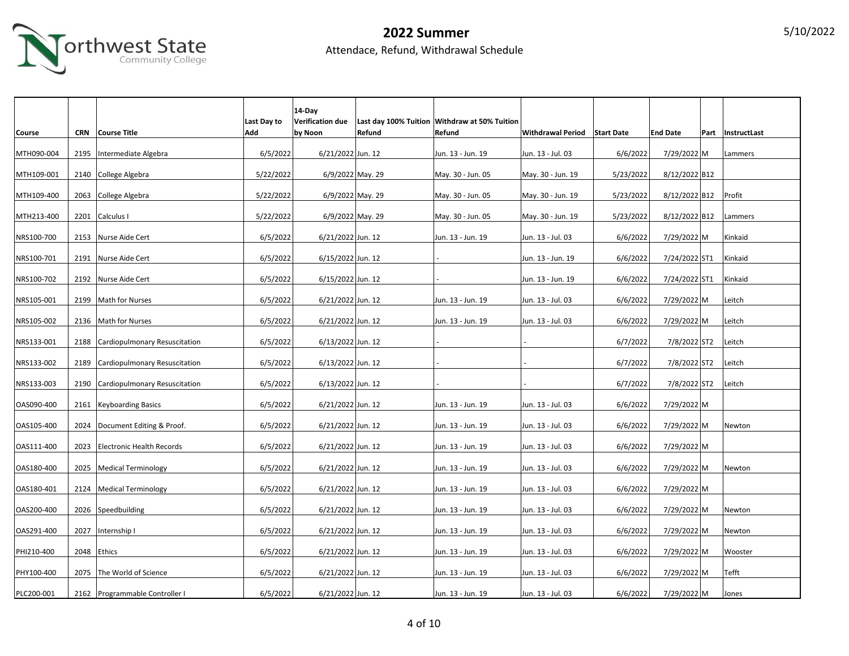

|            |      |                                    |             | 14-Day                  |        |                                               |                              |           |                 |                   |
|------------|------|------------------------------------|-------------|-------------------------|--------|-----------------------------------------------|------------------------------|-----------|-----------------|-------------------|
|            |      |                                    | Last Day to | <b>Verification due</b> |        | Last day 100% Tuition Withdraw at 50% Tuition |                              |           |                 |                   |
| Course     |      | CRN Course Title                   | Add         | by Noon                 | Refund | Refund                                        | Withdrawal Period Start Date |           | <b>End Date</b> | Part InstructLast |
|            |      |                                    |             |                         |        |                                               |                              |           |                 |                   |
| MTH090-004 | 2195 | Intermediate Algebra               | 6/5/2022    | 6/21/2022 Jun. 12       |        | Jun. 13 - Jun. 19                             | Jun. 13 - Jul. 03            | 6/6/2022  | 7/29/2022 M     | Lammers           |
|            |      |                                    |             |                         |        |                                               |                              |           |                 |                   |
| MTH109-001 |      | 2140 College Algebra               | 5/22/2022   | 6/9/2022 May. 29        |        | May. 30 - Jun. 05                             | May. 30 - Jun. 19            | 5/23/2022 | 8/12/2022 B12   |                   |
|            |      |                                    |             |                         |        |                                               |                              |           |                 |                   |
| MTH109-400 | 2063 | College Algebra                    | 5/22/2022   | 6/9/2022 May. 29        |        | May. 30 - Jun. 05                             | May. 30 - Jun. 19            | 5/23/2022 | 8/12/2022 B12   | Profit            |
|            |      |                                    |             |                         |        |                                               |                              |           |                 |                   |
| MTH213-400 |      | 2201 Calculus I                    | 5/22/2022   | 6/9/2022 May. 29        |        | May. 30 - Jun. 05                             | May. 30 - Jun. 19            | 5/23/2022 | 8/12/2022 B12   | Lammers           |
|            |      |                                    |             |                         |        |                                               |                              |           |                 |                   |
| NRS100-700 |      | 2153 Nurse Aide Cert               | 6/5/2022    | 6/21/2022 Jun. 12       |        | Jun. 13 - Jun. 19                             | Jun. 13 - Jul. 03            | 6/6/2022  | 7/29/2022 M     | Kinkaid           |
|            |      |                                    |             |                         |        |                                               |                              |           |                 |                   |
| NRS100-701 |      | 2191 Nurse Aide Cert               | 6/5/2022    | 6/15/2022 Jun. 12       |        |                                               | Jun. 13 - Jun. 19            | 6/6/2022  | 7/24/2022 ST1   | Kinkaid           |
|            |      |                                    |             |                         |        |                                               |                              |           |                 |                   |
| NRS100-702 |      | 2192 Nurse Aide Cert               | 6/5/2022    | 6/15/2022 Jun. 12       |        |                                               | Jun. 13 - Jun. 19            | 6/6/2022  | 7/24/2022 ST1   | Kinkaid           |
|            |      |                                    |             |                         |        |                                               |                              |           |                 |                   |
| NRS105-001 | 2199 | Math for Nurses                    | 6/5/2022    | 6/21/2022 Jun. 12       |        | Jun. 13 - Jun. 19                             | Jun. 13 - Jul. 03            | 6/6/2022  | 7/29/2022 M     | Leitch            |
|            |      |                                    |             |                         |        |                                               |                              |           |                 |                   |
| NRS105-002 |      | 2136   Math for Nurses             | 6/5/2022    | 6/21/2022 Jun. 12       |        | Jun. 13 - Jun. 19                             | Jun. 13 - Jul. 03            | 6/6/2022  | 7/29/2022 M     | Leitch            |
| NRS133-001 | 2188 | Cardiopulmonary Resuscitation      | 6/5/2022    | 6/13/2022 Jun. 12       |        |                                               |                              | 6/7/2022  | 7/8/2022 ST2    | Leitch            |
|            |      |                                    |             |                         |        |                                               |                              |           |                 |                   |
| NRS133-002 |      | 2189 Cardiopulmonary Resuscitation | 6/5/2022    | 6/13/2022 Jun. 12       |        |                                               |                              | 6/7/2022  | 7/8/2022 ST2    | Leitch            |
|            |      |                                    |             |                         |        |                                               |                              |           |                 |                   |
| NRS133-003 | 2190 | Cardiopulmonary Resuscitation      | 6/5/2022    | 6/13/2022 Jun. 12       |        |                                               |                              | 6/7/2022  | 7/8/2022 ST2    | Leitch            |
|            |      |                                    |             |                         |        |                                               |                              |           |                 |                   |
| OAS090-400 |      | 2161 Keyboarding Basics            | 6/5/2022    | 6/21/2022 Jun. 12       |        | Jun. 13 - Jun. 19                             | Jun. 13 - Jul. 03            | 6/6/2022  | 7/29/2022 M     |                   |
|            |      |                                    |             |                         |        |                                               |                              |           |                 |                   |
| OAS105-400 |      | 2024 Document Editing & Proof.     | 6/5/2022    | 6/21/2022 Jun. 12       |        | Jun. 13 - Jun. 19                             | Jun. 13 - Jul. 03            | 6/6/2022  | 7/29/2022 M     | Newton            |
|            |      |                                    |             |                         |        |                                               |                              |           |                 |                   |
| OAS111-400 |      | 2023 Electronic Health Records     | 6/5/2022    | 6/21/2022 Jun. 12       |        | Jun. 13 - Jun. 19                             | Jun. 13 - Jul. 03            | 6/6/2022  | 7/29/2022 M     |                   |
|            |      |                                    |             |                         |        |                                               |                              |           |                 |                   |
| OAS180-400 |      | 2025   Medical Terminology         | 6/5/2022    | 6/21/2022 Jun. 12       |        | Jun. 13 - Jun. 19                             | Jun. 13 - Jul. 03            | 6/6/2022  | 7/29/2022 M     | Newton            |
|            |      |                                    |             |                         |        |                                               |                              |           |                 |                   |
| OAS180-401 |      | 2124   Medical Terminology         | 6/5/2022    | 6/21/2022 Jun. 12       |        | Jun. 13 - Jun. 19                             | Jun. 13 - Jul. 03            | 6/6/2022  | 7/29/2022 M     |                   |
|            |      |                                    |             |                         |        |                                               |                              |           |                 |                   |
| OAS200-400 |      | 2026 Speedbuilding                 | 6/5/2022    | 6/21/2022 Jun. 12       |        | Jun. 13 - Jun. 19                             | Jun. 13 - Jul. 03            | 6/6/2022  | 7/29/2022 M     | Newton            |
| OAS291-400 | 2027 | Internship I                       | 6/5/2022    | 6/21/2022 Jun. 12       |        | Jun. 13 - Jun. 19                             | Jun. 13 - Jul. 03            | 6/6/2022  | 7/29/2022 M     | Newton            |
|            |      |                                    |             |                         |        |                                               |                              |           |                 |                   |
| PHI210-400 |      | 2048 Ethics                        | 6/5/2022    | 6/21/2022 Jun. 12       |        | Jun. 13 - Jun. 19                             | Jun. 13 - Jul. 03            | 6/6/2022  | 7/29/2022 M     | Wooster           |
|            |      |                                    |             |                         |        |                                               |                              |           |                 |                   |
| PHY100-400 |      | 2075 The World of Science          | 6/5/2022    | 6/21/2022 Jun. 12       |        | Jun. 13 - Jun. 19                             | Jun. 13 - Jul. 03            | 6/6/2022  | 7/29/2022 M     | Tefft             |
|            |      |                                    |             |                         |        |                                               |                              |           |                 |                   |
| PLC200-001 |      | 2162 Programmable Controller I     | 6/5/2022    | 6/21/2022 Jun. 12       |        | Jun. 13 - Jun. 19                             | Jun. 13 - Jul. 03            | 6/6/2022  | 7/29/2022 M     | Jones             |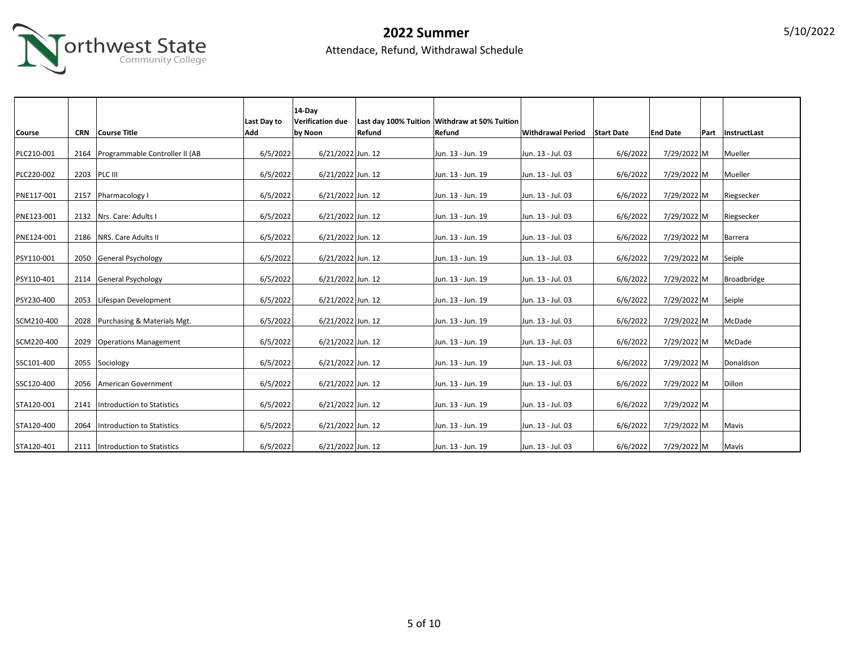

|               |      |                                   |             | 14-Dav            |        |                                               |                              |          |                 |                   |
|---------------|------|-----------------------------------|-------------|-------------------|--------|-----------------------------------------------|------------------------------|----------|-----------------|-------------------|
|               |      |                                   | Last Day to | Verification due  |        | Last day 100% Tuition Withdraw at 50% Tuition |                              |          |                 |                   |
| <b>Course</b> |      | CRN Course Title                  | Add         | by Noon           | Refund | Refund                                        | Withdrawal Period Start Date |          | <b>End Date</b> | Part InstructLast |
| PLC210-001    | 2164 | Programmable Controller II (AB    | 6/5/2022    | 6/21/2022 Jun. 12 |        | Jun. 13 - Jun. 19                             | Jun. 13 - Jul. 03            | 6/6/2022 | 7/29/2022 M     | Mueller           |
| PLC220-002    |      | 2203 PLC III                      | 6/5/2022    | 6/21/2022 Jun. 12 |        | Jun. 13 - Jun. 19                             | Jun. 13 - Jul. 03            | 6/6/2022 | 7/29/2022 M     | Mueller           |
| PNE117-001    |      | 2157 Pharmacology I               | 6/5/2022    | 6/21/2022 Jun. 12 |        | Jun. 13 - Jun. 19                             | Jun. 13 - Jul. 03            | 6/6/2022 | 7/29/2022 M     | Riegsecker        |
| PNE123-001    |      | 2132   Nrs. Care: Adults I        | 6/5/2022    | 6/21/2022 Jun. 12 |        | Jun. 13 - Jun. 19                             | Jun. 13 - Jul. 03            | 6/6/2022 | 7/29/2022 M     | Riegsecker        |
| PNE124-001    |      | 2186   NRS. Care Adults II        | 6/5/2022    | 6/21/2022 Jun. 12 |        | Jun. 13 - Jun. 19                             | Jun. 13 - Jul. 03            | 6/6/2022 | 7/29/2022 M     | Barrera           |
| PSY110-001    |      | 2050 General Psychology           | 6/5/2022    | 6/21/2022 Jun. 12 |        | Jun. 13 - Jun. 19                             | Jun. 13 - Jul. 03            | 6/6/2022 | 7/29/2022 M     | Seiple            |
| PSY110-401    |      | 2114 General Psychology           | 6/5/2022    | 6/21/2022 Jun. 12 |        | Jun. 13 - Jun. 19                             | Jun. 13 - Jul. 03            | 6/6/2022 | 7/29/2022 M     | Broadbridge       |
| PSY230-400    |      | 2053 Lifespan Development         | 6/5/2022    | 6/21/2022 Jun. 12 |        | Jun. 13 - Jun. 19                             | Jun. 13 - Jul. 03            | 6/6/2022 | 7/29/2022 M     | Seiple            |
| SCM210-400    |      | 2028 Purchasing & Materials Mgt.  | 6/5/2022    | 6/21/2022 Jun. 12 |        | Jun. 13 - Jun. 19                             | Jun. 13 - Jul. 03            | 6/6/2022 | 7/29/2022 M     | McDade            |
| SCM220-400    |      | 2029 Operations Management        | 6/5/2022    | 6/21/2022 Jun. 12 |        | Jun. 13 - Jun. 19                             | Jun. 13 - Jul. 03            | 6/6/2022 | 7/29/2022 M     | McDade            |
| SSC101-400    |      | 2055 Sociology                    | 6/5/2022    | 6/21/2022 Jun. 12 |        | Jun. 13 - Jun. 19                             | Jun. 13 - Jul. 03            | 6/6/2022 | 7/29/2022 M     | Donaldson         |
| SSC120-400    |      | 2056 American Government          | 6/5/2022    | 6/21/2022 Jun. 12 |        | Jun. 13 - Jun. 19                             | Jun. 13 - Jul. 03            | 6/6/2022 | 7/29/2022 M     | Dillon            |
| STA120-001    | 2141 | Introduction to Statistics        | 6/5/2022    | 6/21/2022 Jun. 12 |        | Jun. 13 - Jun. 19                             | Jun. 13 - Jul. 03            | 6/6/2022 | 7/29/2022 M     |                   |
| STA120-400    | 2064 | Introduction to Statistics        | 6/5/2022    | 6/21/2022 Jun. 12 |        | Jun. 13 - Jun. 19                             | Jun. 13 - Jul. 03            | 6/6/2022 | 7/29/2022 M     | Mavis             |
| STA120-401    |      | 2111   Introduction to Statistics | 6/5/2022    | 6/21/2022 Jun. 12 |        | Jun. 13 - Jun. 19                             | Jun. 13 - Jul. 03            | 6/6/2022 | 7/29/2022 M     | Mavis             |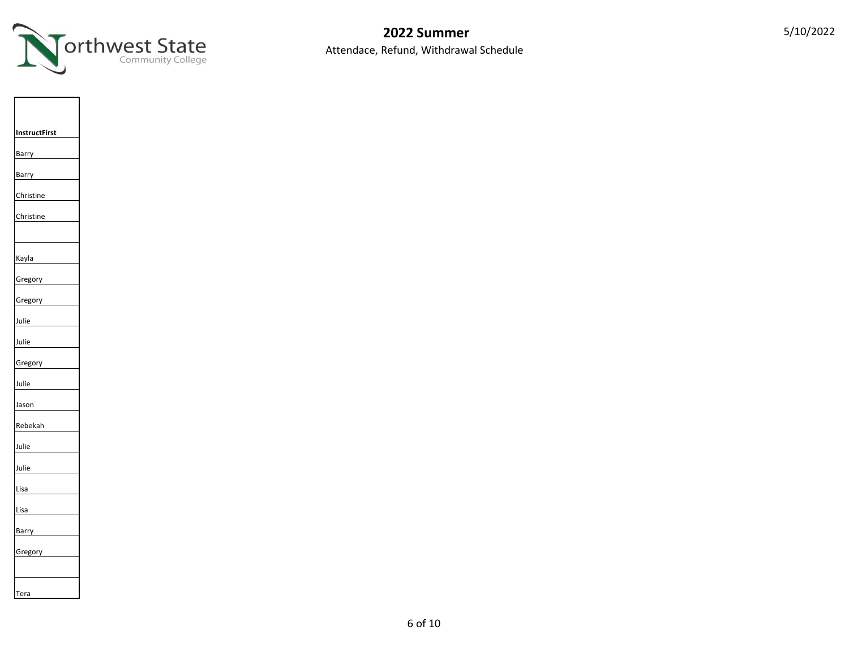

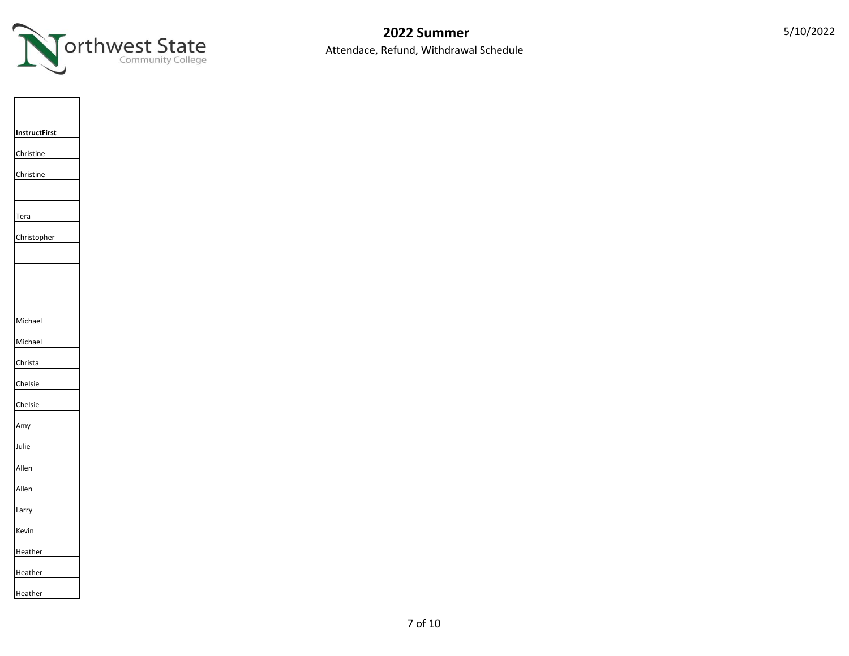

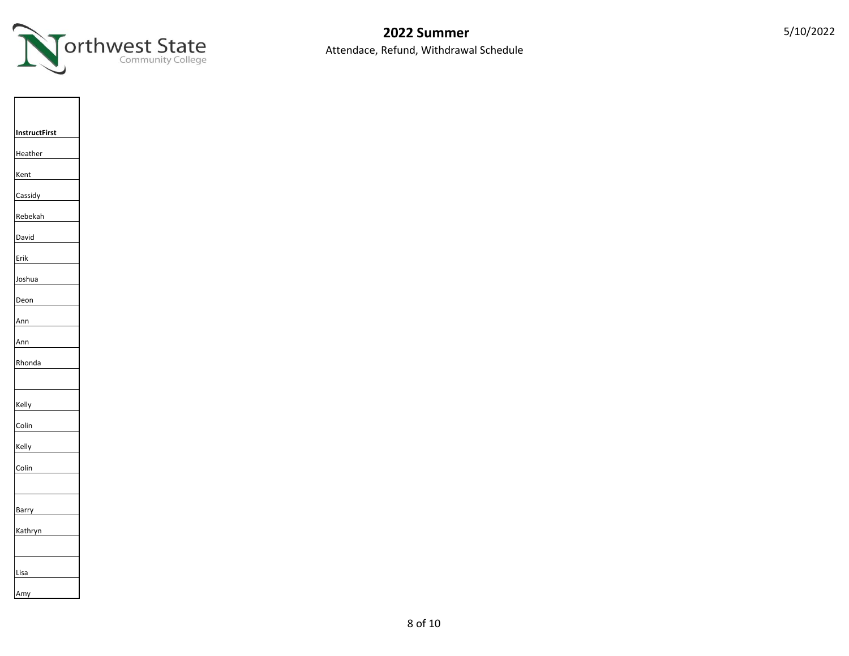



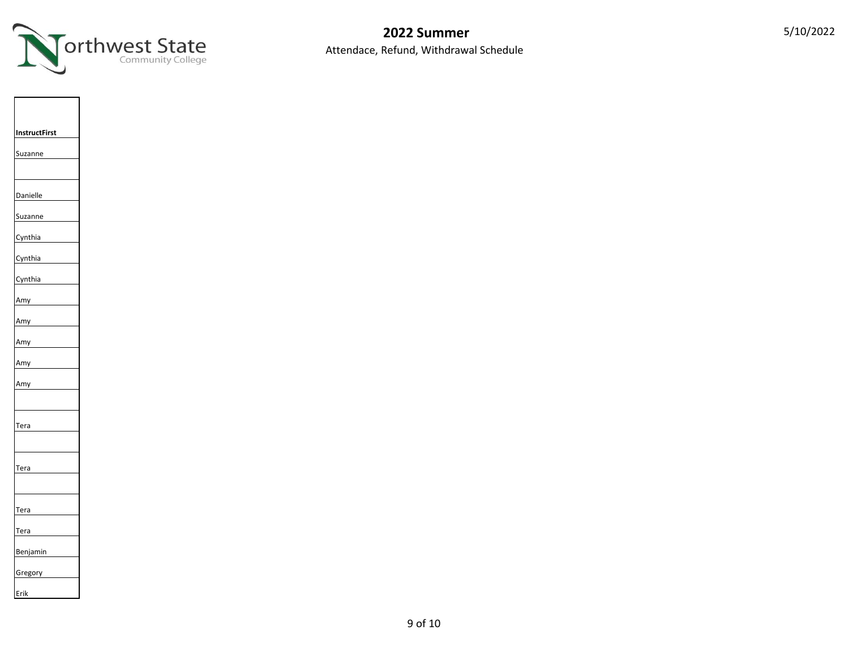